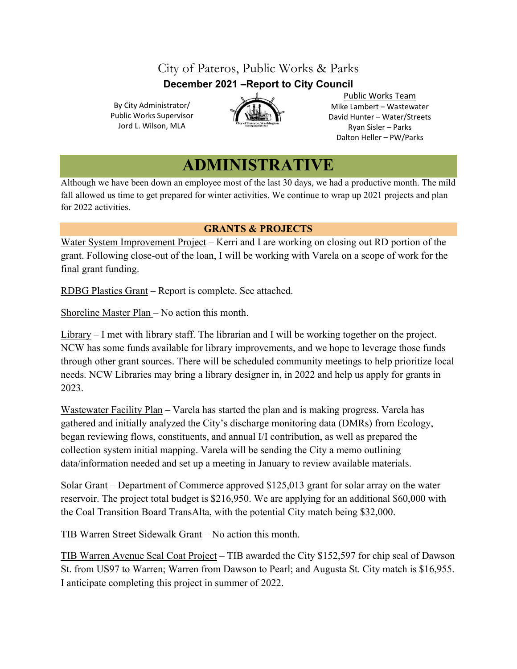# City of Pateros, Public Works & Parks **December 2021 –Report to City Council**

By City Administrator/ Public Works Supervisor Jord L. Wilson, MLA



Public Works Team Mike Lambert – Wastewater David Hunter – Water/Streets Ryan Sisler – Parks Dalton Heller – PW/Parks

# **ADMINISTRATIVE**

Although we have been down an employee most of the last 30 days, we had a productive month. The mild fall allowed us time to get prepared for winter activities. We continue to wrap up 2021 projects and plan for 2022 activities.

## **GRANTS & PROJECTS**

Water System Improvement Project – Kerri and I are working on closing out RD portion of the grant. Following close-out of the loan, I will be working with Varela on a scope of work for the final grant funding.

RDBG Plastics Grant – Report is complete. See attached.

Shoreline Master Plan – No action this month.

Library – I met with library staff. The librarian and I will be working together on the project. NCW has some funds available for library improvements, and we hope to leverage those funds through other grant sources. There will be scheduled community meetings to help prioritize local needs. NCW Libraries may bring a library designer in, in 2022 and help us apply for grants in 2023.

Wastewater Facility Plan – Varela has started the plan and is making progress. Varela has gathered and initially analyzed the City's discharge monitoring data (DMRs) from Ecology, began reviewing flows, constituents, and annual I/I contribution, as well as prepared the collection system initial mapping. Varela will be sending the City a memo outlining data/information needed and set up a meeting in January to review available materials.

Solar Grant – Department of Commerce approved \$125,013 grant for solar array on the water reservoir. The project total budget is \$216,950. We are applying for an additional \$60,000 with the Coal Transition Board TransAlta, with the potential City match being \$32,000.

TIB Warren Street Sidewalk Grant – No action this month.

TIB Warren Avenue Seal Coat Project – TIB awarded the City \$152,597 for chip seal of Dawson St. from US97 to Warren; Warren from Dawson to Pearl; and Augusta St. City match is \$16,955. I anticipate completing this project in summer of 2022.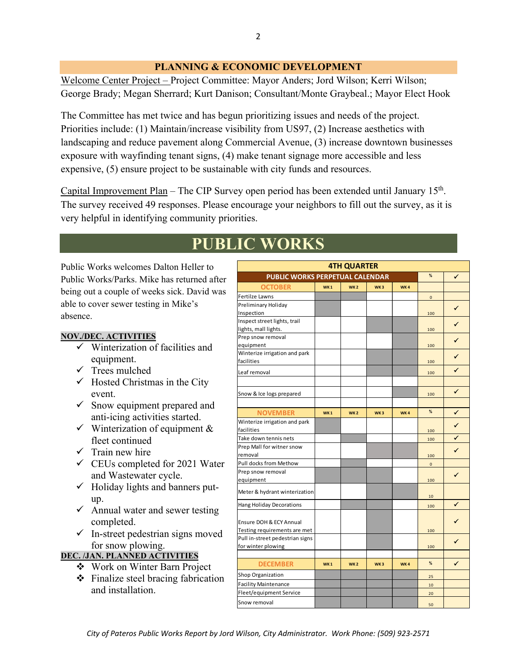## **PLANNING & ECONOMIC DEVELOPMENT**

Welcome Center Project – Project Committee: Mayor Anders; Jord Wilson; Kerri Wilson; George Brady; Megan Sherrard; Kurt Danison; Consultant/Monte Graybeal.; Mayor Elect Hook

The Committee has met twice and has begun prioritizing issues and needs of the project. Priorities include: (1) Maintain/increase visibility from US97, (2) Increase aesthetics with landscaping and reduce pavement along Commercial Avenue, (3) increase downtown businesses exposure with wayfinding tenant signs, (4) make tenant signage more accessible and less expensive, (5) ensure project to be sustainable with city funds and resources.

Capital Improvement Plan – The CIP Survey open period has been extended until January  $15<sup>th</sup>$ . The survey received 49 responses. Please encourage your neighbors to fill out the survey, as it is very helpful in identifying community priorities.

# **PUBLIC WORKS**

Public Works welcomes Dalton Heller to Public Works/Parks. Mike has returned after being out a couple of weeks sick. David was able to cover sewer testing in Mike's absence.

### **NOV./DEC. ACTIVITIES**

- $\checkmark$  Winterization of facilities and equipment.
- $\checkmark$  Trees mulched
- $\checkmark$  Hosted Christmas in the City event.
- $\checkmark$  Snow equipment prepared and anti-icing activities started.
- $\checkmark$  Winterization of equipment & fleet continued
- $\checkmark$  Train new hire
- $\checkmark$  CEUs completed for 2021 Water and Wastewater cycle.
- $\checkmark$  Holiday lights and banners putup.
- $\checkmark$  Annual water and sewer testing completed.
- $\checkmark$  In-street pedestrian signs moved for snow plowing.

#### **DEC. /JAN. PLANNED ACTIVITIES**

- Work on Winter Barn Project
- $\div$  Finalize steel bracing fabrication and installation.

| <b>4TH QUARTER</b>                     |            |                 |                 |     |                |              |
|----------------------------------------|------------|-----------------|-----------------|-----|----------------|--------------|
| <b>PUBLIC WORKS PERPETUAL CALENDAR</b> |            |                 |                 |     | $\frac{9}{6}$  | ✓            |
| <b>OCTOBER</b>                         | <b>WK1</b> | WK <sub>2</sub> | WK <sub>3</sub> | WK4 |                |              |
| Fertilze Lawns                         |            |                 |                 |     | $\mathbf 0$    |              |
| Preliminary Holiday                    |            |                 |                 |     |                | ✔            |
| Inspection                             |            |                 |                 |     | 100            |              |
| Inspect street lights, trail           |            |                 |                 |     |                | ✔            |
| lights, mall lights.                   |            |                 |                 |     | 100            |              |
| Prep snow removal                      |            |                 |                 |     |                |              |
| equipment                              |            |                 |                 |     | 100            |              |
| Winterize irrigation and park          |            |                 |                 |     |                | ✔            |
| facilities                             |            |                 |                 |     | 100            |              |
| Leaf removal                           |            |                 |                 |     | 100            |              |
|                                        |            |                 |                 |     |                |              |
| Snow & Ice logs prepared               |            |                 |                 |     | 100            | $\checkmark$ |
|                                        |            |                 |                 |     |                |              |
| <b>NOVEMBER</b>                        | <b>WK1</b> | WK <sub>2</sub> | WK <sub>3</sub> | WK4 | $\frac{9}{6}$  | ✔            |
| Winterize irrigation and park          |            |                 |                 |     |                | ✓            |
| facilities                             |            |                 |                 |     | 100            |              |
| Take down tennis nets                  |            |                 |                 |     | 100            | ✔            |
| Prep Mall for witner snow              |            |                 |                 |     |                |              |
| removal                                |            |                 |                 |     | 100            |              |
| Pull docks from Methow                 |            |                 |                 |     | $\overline{0}$ |              |
| Prep snow removal                      |            |                 |                 |     |                | ✔            |
| equipment                              |            |                 |                 |     | 100            |              |
| Meter & hydrant winterization          |            |                 |                 |     |                |              |
|                                        |            |                 |                 |     | 10             | ✔            |
| Hang Holiday Decorations               |            |                 |                 |     | 100            |              |
|                                        |            |                 |                 |     |                |              |
| Ensure DOH & ECY Annual                |            |                 |                 |     |                |              |
| Testing requirements are met           |            |                 |                 |     | 100            |              |
| Pull in-street pedestrian signs        |            |                 |                 |     |                | ✔            |
| for winter plowing                     |            |                 |                 |     | 100            |              |
| <b>DECEMBER</b>                        | <b>WK1</b> | WK <sub>2</sub> | WK <sub>3</sub> | WK4 | %              | ✔            |
| Shop Organization                      |            |                 |                 |     |                |              |
| <b>Facility Maintenance</b>            |            |                 |                 |     | 25             |              |
| Fleet/equipment Service                |            |                 |                 |     | 10             |              |
|                                        |            |                 |                 |     | 20             |              |
| Snow removal                           |            |                 |                 |     | 50             |              |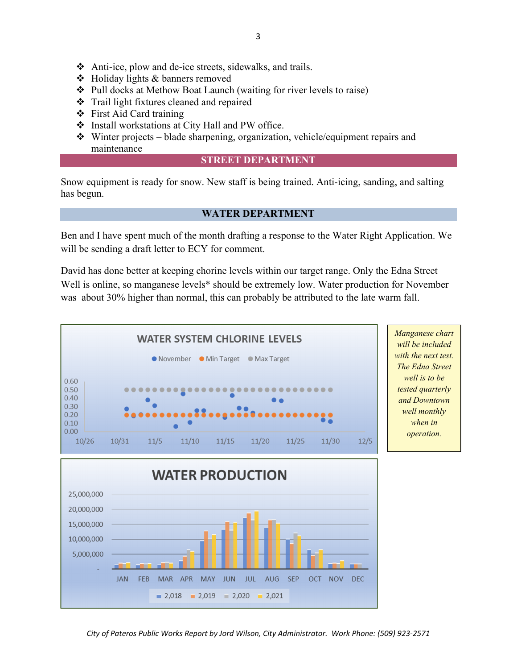- Anti-ice, plow and de-ice streets, sidewalks, and trails.
- Holiday lights & banners removed
- Pull docks at Methow Boat Launch (waiting for river levels to raise)
- Trail light fixtures cleaned and repaired
- ❖ First Aid Card training
- Install workstations at City Hall and PW office.
- $\bullet$  Winter projects blade sharpening, organization, vehicle/equipment repairs and maintenance

#### **STREET DEPARTMENT**

Snow equipment is ready for snow. New staff is being trained. Anti-icing, sanding, and salting has begun.

### **WATER DEPARTMENT**

Ben and I have spent much of the month drafting a response to the Water Right Application. We will be sending a draft letter to ECY for comment.

David has done better at keeping chorine levels within our target range. Only the Edna Street Well is online, so manganese levels\* should be extremely low. Water production for November was about 30% higher than normal, this can probably be attributed to the late warm fall.